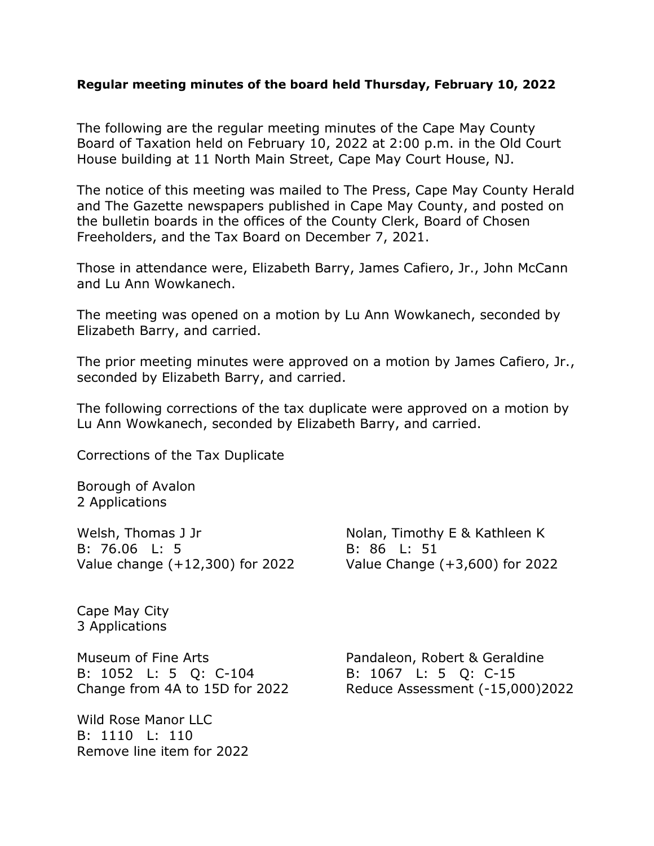## **Regular meeting minutes of the board held Thursday, February 10, 2022**

The following are the regular meeting minutes of the Cape May County Board of Taxation held on February 10, 2022 at 2:00 p.m. in the Old Court House building at 11 North Main Street, Cape May Court House, NJ.

The notice of this meeting was mailed to The Press, Cape May County Herald and The Gazette newspapers published in Cape May County, and posted on the bulletin boards in the offices of the County Clerk, Board of Chosen Freeholders, and the Tax Board on December 7, 2021.

Those in attendance were, Elizabeth Barry, James Cafiero, Jr., John McCann and Lu Ann Wowkanech.

The meeting was opened on a motion by Lu Ann Wowkanech, seconded by Elizabeth Barry, and carried.

The prior meeting minutes were approved on a motion by James Cafiero, Jr., seconded by Elizabeth Barry, and carried.

The following corrections of the tax duplicate were approved on a motion by Lu Ann Wowkanech, seconded by Elizabeth Barry, and carried.

Corrections of the Tax Duplicate

Borough of Avalon 2 Applications

Welsh, Thomas J Jr Nolan, Timothy E & Kathleen K B: 76.06 L: 5 B: 86 L: 51 Value change (+12,300) for 2022 Value Change (+3,600) for 2022

Cape May City 3 Applications

Museum of Fine Arts **Pandaleon**, Robert & Geraldine B: 1052 L: 5 Q: C-104 B: 1067 L: 5 Q: C-15

Wild Rose Manor LLC B: 1110 L: 110 Remove line item for 2022

Change from 4A to 15D for 2022 Reduce Assessment (-15,000)2022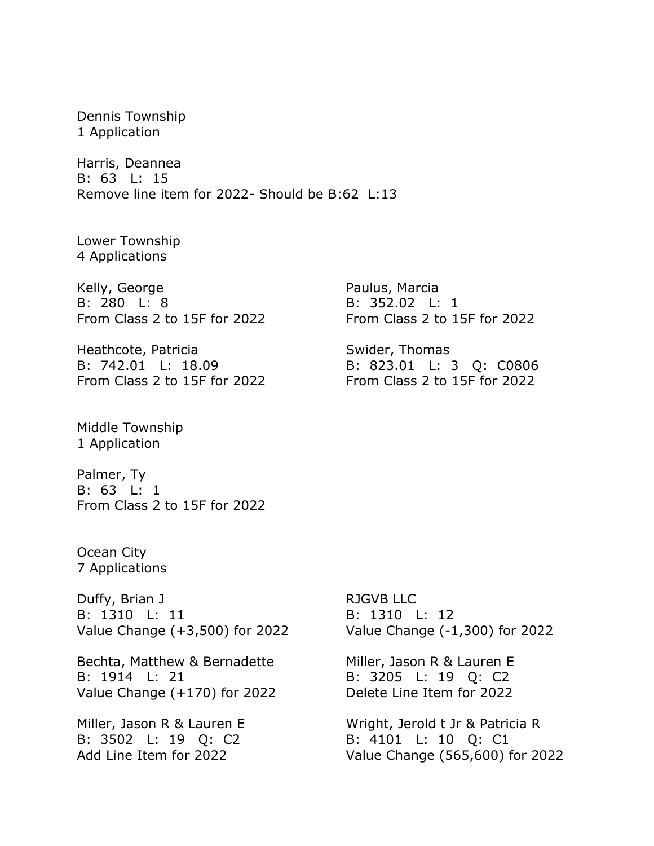Dennis Township 1 Application

Harris, Deannea B: 63 L: 15 Remove line item for 2022- Should be B:62 L:13

Lower Township 4 Applications

Kelly, George **Paulus**, Marcia B: 280 L: 8 B: 352.02 L: 1 From Class 2 to 15F for 2022 From Class 2 to 15F for 2022

Heathcote, Patricia Swider, Thomas

Middle Township 1 Application

Palmer, Ty B: 63 L: 1 From Class 2 to 15F for 2022

Ocean City 7 Applications

Duffy, Brian J RJGVB LLC B: 1310 L: 11 B: 1310 L: 12 Value Change (+3,500) for 2022 Value Change (-1,300) for 2022

Bechta, Matthew & Bernadette Miller, Jason R & Lauren E B: 1914 L: 21 B: 3205 L: 19 Q: C2 Value Change (+170) for 2022 Delete Line Item for 2022

B: 3502 L: 19 Q: C2 B: 4101 L: 10 Q: C1

B: 742.01 L: 18.09 B: 823.01 L: 3 Q: C0806 From Class 2 to 15F for 2022 From Class 2 to 15F for 2022

Miller, Jason R & Lauren E Wright, Jerold t Jr & Patricia R Add Line Item for 2022 Value Change (565,600) for 2022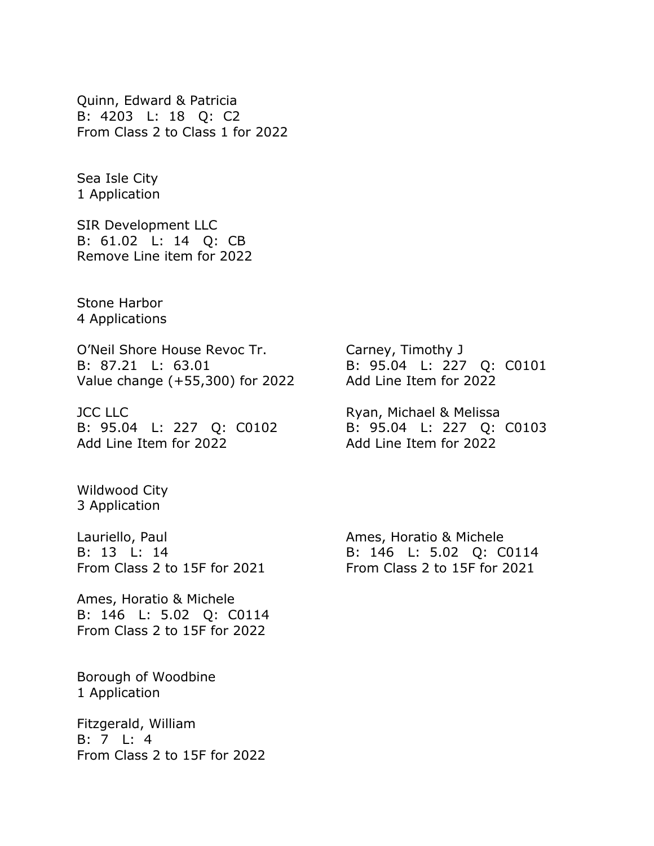Quinn, Edward & Patricia B: 4203 L: 18 Q: C2 From Class 2 to Class 1 for 2022

Sea Isle City 1 Application

SIR Development LLC B: 61.02 L: 14 Q: CB Remove Line item for 2022

Stone Harbor 4 Applications

O'Neil Shore House Revoc Tr. Carney, Timothy J B: 87.21 L: 63.01 B: 95.04 L: 227 Q: C0101 Value change (+55,300) for 2022 Add Line Item for 2022

JCC LLC **Ryan, Michael & Melissa** B: 95.04 L: 227 Q: C0102 B: 95.04 L: 227 Q: C0103 Add Line Item for 2022 Add Line Item for 2022

Wildwood City 3 Application

Lauriello, Paul **Ames**, Horatio & Michele

Ames, Horatio & Michele B: 146 L: 5.02 Q: C0114 From Class 2 to 15F for 2022

Borough of Woodbine 1 Application

Fitzgerald, William B: 7 L: 4 From Class 2 to 15F for 2022

B: 13 L: 14 B: 146 L: 5.02 Q: C0114 From Class 2 to 15F for 2021 From Class 2 to 15F for 2021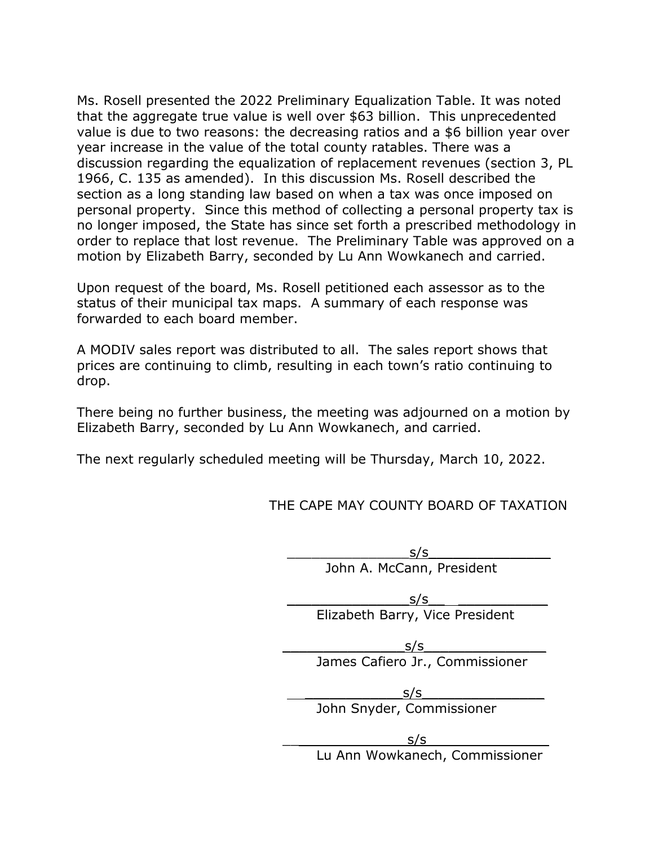Ms. Rosell presented the 2022 Preliminary Equalization Table. It was noted that the aggregate true value is well over \$63 billion. This unprecedented value is due to two reasons: the decreasing ratios and a \$6 billion year over year increase in the value of the total county ratables. There was a discussion regarding the equalization of replacement revenues (section 3, PL 1966, C. 135 as amended). In this discussion Ms. Rosell described the section as a long standing law based on when a tax was once imposed on personal property. Since this method of collecting a personal property tax is no longer imposed, the State has since set forth a prescribed methodology in order to replace that lost revenue. The Preliminary Table was approved on a motion by Elizabeth Barry, seconded by Lu Ann Wowkanech and carried.

Upon request of the board, Ms. Rosell petitioned each assessor as to the status of their municipal tax maps. A summary of each response was forwarded to each board member.

A MODIV sales report was distributed to all. The sales report shows that prices are continuing to climb, resulting in each town's ratio continuing to drop.

There being no further business, the meeting was adjourned on a motion by Elizabeth Barry, seconded by Lu Ann Wowkanech, and carried.

The next regularly scheduled meeting will be Thursday, March 10, 2022.

THE CAPE MAY COUNTY BOARD OF TAXATION

 $S/S$ John A. McCann, President

 $\mathsf{s}/\mathsf{s}$ Elizabeth Barry, Vice President

> $S/S$ James Cafiero Jr., Commissioner

 $s/s$ John Snyder, Commissioner

 $S/S$ Lu Ann Wowkanech, Commissioner